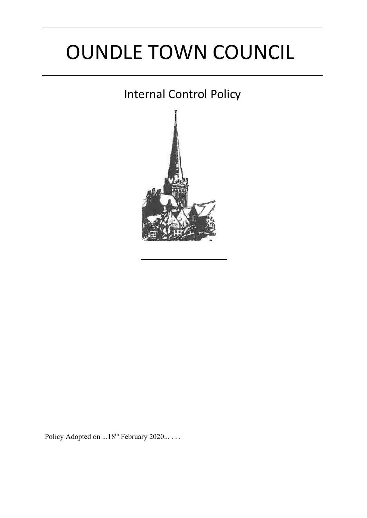# OUNDLE TOWN COUNCIL

# Internal Control Policy



Policy Adopted on ...18<sup>th</sup> February 2020... . . .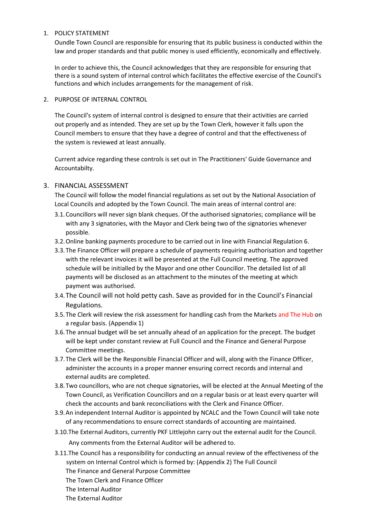#### 1. POLICY STATEMENT

Oundle Town Council are responsible for ensuring that its public business is conducted within the law and proper standards and that public money is used efficiently, economically and effectively.

In order to achieve this, the Council acknowledges that they are responsible for ensuring that there is a sound system of internal control which facilitates the effective exercise of the Council's functions and which includes arrangements for the management of risk.

2. PURPOSE OF INTERNAL CONTROL

The Council's system of internal control is designed to ensure that their activities are carried out properly and as intended. They are set up by the Town Clerk, however it falls upon the Council members to ensure that they have a degree of control and that the effectiveness of the system is reviewed at least annually.

Current advice regarding these controls is set out in The Practitioners' Guide Governance and Accountabilty.

#### 3. FINANCIAL ASSESSMENT

The Council will follow the model financial regulations as set out by the National Association of Local Councils and adopted by the Town Council. The main areas of internal control are:

- 3.1.Councillors will never sign blank cheques. Of the authorised signatories; compliance will be with any 3 signatories, with the Mayor and Clerk being two of the signatories whenever possible.
- 3.2.Online banking payments procedure to be carried out in line with Financial Regulation 6.
- 3.3.The Finance Officer will prepare a schedule of payments requiring authorisation and together with the relevant invoices it will be presented at the Full Council meeting. The approved schedule will be initialled by the Mayor and one other Councillor. The detailed list of all payments will be disclosed as an attachment to the minutes of the meeting at which payment was authorised.
- 3.4.The Council will not hold petty cash. Save as provided for in the Council's Financial Regulations.
- 3.5. The Clerk will review the risk assessment for handling cash from the Markets and The Hub on a regular basis. (Appendix 1)
- 3.6.The annual budget will be set annually ahead of an application for the precept. The budget will be kept under constant review at Full Council and the Finance and General Purpose Committee meetings.
- 3.7.The Clerk will be the Responsible Financial Officer and will, along with the Finance Officer, administer the accounts in a proper manner ensuring correct records and internal and external audits are completed.
- 3.8.Two councillors, who are not cheque signatories, will be elected at the Annual Meeting of the Town Council, as Verification Councillors and on a regular basis or at least every quarter will check the accounts and bank reconciliations with the Clerk and Finance Officer.
- 3.9.An independent Internal Auditor is appointed by NCALC and the Town Council will take note of any recommendations to ensure correct standards of accounting are maintained.
- 3.10.The External Auditors, currently PKF Littlejohn carry out the external audit for the Council.

Any comments from the External Auditor will be adhered to.

3.11.The Council has a responsibility for conducting an annual review of the effectiveness of the system on Internal Control which is formed by: (Appendix 2) The Full Council The Finance and General Purpose Committee

The Town Clerk and Finance Officer

- The Internal Auditor
- The External Auditor